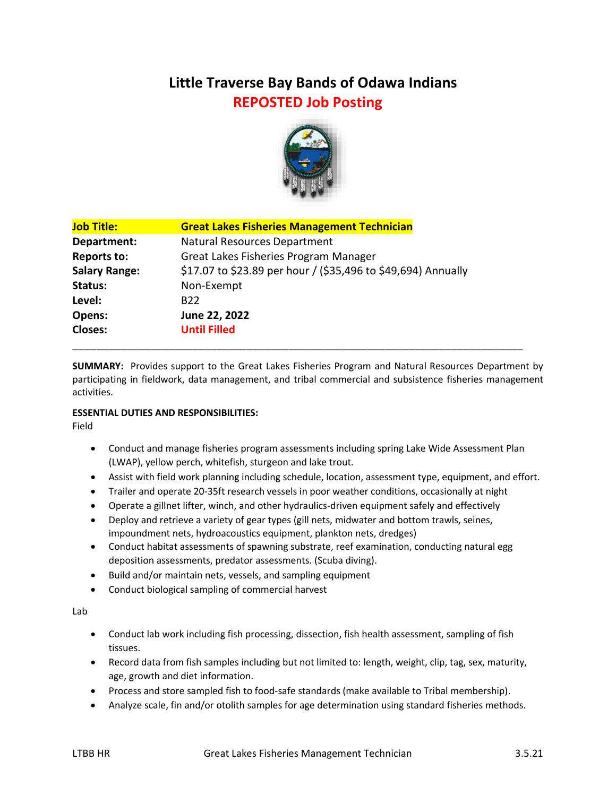# **Little Traverse Bay Bands of Odawa Indians REPOSTED Job Posting**



| <b>Job Title:</b>    | <b>Great Lakes Fisheries Management Technician</b>            |
|----------------------|---------------------------------------------------------------|
| Department:          | <b>Natural Resources Department</b>                           |
| <b>Reports to:</b>   | Great Lakes Fisheries Program Manager                         |
| <b>Salary Range:</b> | \$17.07 to \$23.89 per hour / (\$35,496 to \$49,694) Annually |
| Status:              | Non-Exempt                                                    |
| Level:               | B <sub>22</sub>                                               |
| Opens:               | June 22, 2022                                                 |
| <b>Closes:</b>       | <b>Until Filled</b>                                           |
|                      |                                                               |

**SUMMARY:** Provides support to the Great Lakes Fisheries Program and Natural Resources Department by participating in fieldwork, data management, and tribal commercial and subsistence fisheries management activities.

# **ESSENTIAL DUTIES AND RESPONSIBILITIES:**

Field

- Conduct and manage fisheries program assessments including spring Lake Wide Assessment Plan (LWAP), yellow perch, whitefish, sturgeon and lake trout.
- Assist with field work planning including schedule, location, assessment type, equipment, and effort.
- Trailer and operate 20-35ft research vessels in poor weather conditions, occasionally at night
- Operate a gillnet lifter, winch, and other hydraulics-driven equipment safely and effectively
- Deploy and retrieve a variety of gear types (gill nets, midwater and bottom trawls, seines, impoundment nets, hydroacoustics equipment, plankton nets, dredges)
- Conduct habitat assessments of spawning substrate, reef examination, conducting natural egg deposition assessments, predator assessments. (Scuba diving).
- Build and/or maintain nets, vessels, and sampling equipment
- Conduct biological sampling of commercial harvest

Lab

- Conduct lab work including fish processing, dissection, fish health assessment, sampling of fish tissues.
- Record data from fish samples including but not limited to: length, weight, clip, tag, sex, maturity, age, growth and diet information.
- Process and store sampled fish to food-safe standards (make available to Tribal membership).
- Analyze scale, fin and/or otolith samples for age determination using standard fisheries methods.